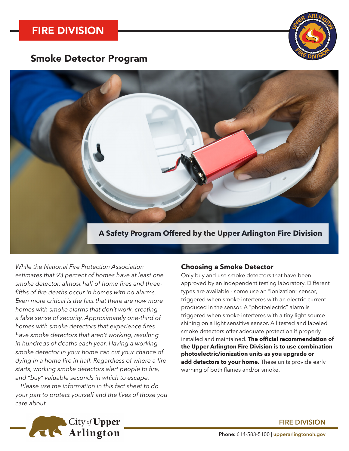

# Smoke Detector Program



### **A Safety Program Offered by the Upper Arlington Fire Division**

*While the National Fire Protection Association estimates that 93 percent of homes have at least one smoke detector, almost half of home fires and threefifths of fire deaths occur in homes with no alarms. Even more critical is the fact that there are now more homes with smoke alarms that don't work, creating a false sense of security. Approximately one-third of homes with smoke detectors that experience fires have smoke detectors that aren't working, resulting in hundreds of deaths each year. Having a working smoke detector in your home can cut your chance of dying in a home fire in half. Regardless of where a fire starts, working smoke detectors alert people to fire, and "buy" valuable seconds in which to escape.*

*Please use the information in this fact sheet to do your part to protect yourself and the lives of those you care about.*

#### **Choosing a Smoke Detector**

Only buy and use smoke detectors that have been approved by an independent testing laboratory. Different types are available - some use an "ionization" sensor, triggered when smoke interferes with an electric current produced in the sensor. A "photoelectric" alarm is triggered when smoke interferes with a tiny light source shining on a light sensitive sensor. All tested and labeled smoke detectors offer adequate protection if properly installed and maintained. **The official recommendation of the Upper Arlington Fire Division is to use combination photoelectric/ionization units as you upgrade or add detectors to your home.** These units provide early warning of both flames and/or smoke.



#### **FIRE DIVISION**

**Phone:** 614-583-5100 | **upperarlingtonoh.gov**